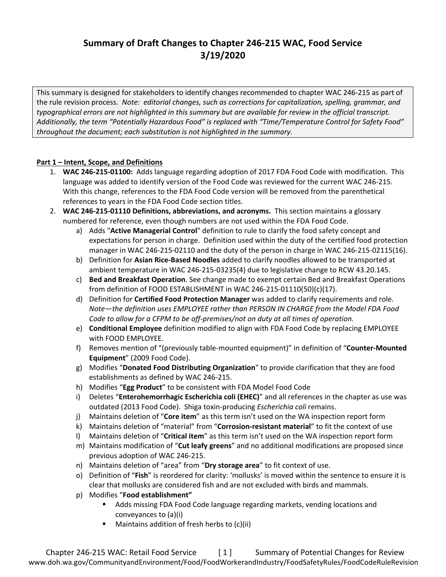# **Summary of Draft Changes to Chapter 246-215 WAC, Food Service 3/19/2020**

This summary is designed for stakeholders to identify changes recommended to chapter WAC 246-215 as part of the rule revision process. *Note: editorial changes, such as corrections for capitalization, spelling, grammar, and typographical errors are not highlighted in this summary but are available for review in the official transcript. Additionally, the term "Potentially Hazardous Food" is replaced with "Time/Temperature Control for Safety Food" throughout the document; each substitution is not highlighted in the summary.*

### **Part 1 – Intent, Scope, and Definitions**

- 1. **WAC 246-215-01100:** Adds language regarding adoption of 2017 FDA Food Code with modification. This language was added to identify version of the Food Code was reviewed for the current WAC 246-215. With this change, references to the FDA Food Code version will be removed from the parenthetical references to years in the FDA Food Code section titles.
- 2. **WAC 246-215-01110 Definitions, abbreviations, and acronyms.** This section maintains a glossary numbered for reference, even though numbers are not used within the FDA Food Code.
	- a) Adds "**Active Managerial Control**" definition to rule to clarify the food safety concept and expectations for person in charge. Definition used within the duty of the certified food protection manager in WAC 246-215-02110 and the duty of the person in charge in WAC 246-215-02115(16).
	- b) Definition for **Asian Rice-Based Noodles** added to clarify noodles allowed to be transported at ambient temperature in WAC 246-215-03235(4) due to legislative change to RCW 43.20.145.
	- c) **Bed and Breakfast Operation**. See change made to exempt certain Bed and Breakfast Operations from definition of FOOD ESTABLISHMENT in WAC 246-215-01110(50)(c)(17).
	- d) Definition for **Certified Food Protection Manager** was added to clarify requirements and role. *Note—the definition uses EMPLOYEE rather than PERSON IN CHARGE from the Model FDA Food Code to allow for a CFPM to be off-premises/not on duty at all times of operation.*
	- e) **Conditional Employee** definition modified to align with FDA Food Code by replacing EMPLOYEE with FOOD EMPLOYEE.
	- f) Removes mention of "(previously table-mounted equipment)" in definition of "**Counter-Mounted Equipment**" (2009 Food Code).
	- g) Modifies "**Donated Food Distributing Organization**" to provide clarification that they are food establishments as defined by WAC 246-215.
	- h) Modifies "**Egg Product**" to be consistent with FDA Model Food Code
	- i) Deletes "**Enterohemorrhagic Escherichia coli (EHEC)**" and all references in the chapter as use was outdated (2013 Food Code). Shiga toxin-producing *Escherichia coli* remains.
	- j) Maintains deletion of "**Core item**" as this term isn't used on the WA inspection report form
	- k) Maintains deletion of "material" from "**Corrosion-resistant material**" to fit the context of use
	- l) Maintains deletion of "**Critical item**" as this term isn't used on the WA inspection report form
	- m) Maintains modification of "**Cut leafy greens**" and no additional modifications are proposed since previous adoption of WAC 246-215.
	- n) Maintains deletion of "area" from "**Dry storage area**" to fit context of use.
	- o) Definition of "**Fish**" is reordered for clarity: 'mollusks' is moved within the sentence to ensure it is clear that mollusks are considered fish and are not excluded with birds and mammals.
	- p) Modifies "**Food establishment"**
		- Adds missing FDA Food Code language regarding markets, vending locations and conveyances to (a)(i)
		- Maintains addition of fresh herbs to (c)(ii)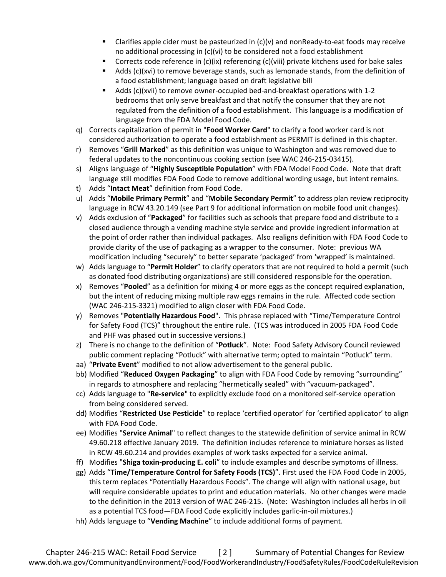- **Clarifies apple cider must be pasteurized in**  $(c)(v)$  **and non Ready-to-eat foods may receive** no additional processing in (c)(vi) to be considered not a food establishment
- Corrects code reference in (c)(ix) referencing (c)(viii) private kitchens used for bake sales
- **Adds (c)(xvi) to remove beverage stands, such as lemonade stands, from the definition of** a food establishment; language based on draft legislative bill
- Adds (c)(xvii) to remove owner-occupied bed-and-breakfast operations with 1-2 bedrooms that only serve breakfast and that notify the consumer that they are not regulated from the definition of a food establishment. This language is a modification of language from the FDA Model Food Code.
- q) Corrects capitalization of permit in "**Food Worker Card**" to clarify a food worker card is not considered authorization to operate a food establishment as PERMIT is defined in this chapter.
- r) Removes "**Grill Marked**" as this definition was unique to Washington and was removed due to federal updates to the noncontinuous cooking section (see WAC 246-215-03415).
- s) Aligns language of "**Highly Susceptible Population**" with FDA Model Food Code. Note that draft language still modifies FDA Food Code to remove additional wording usage, but intent remains.
- t) Adds "**Intact Meat**" definition from Food Code.
- u) Adds "**Mobile Primary Permit**" and "**Mobile Secondary Permit**" to address plan review reciprocity language in RCW 43.20.149 (see Part 9 for additional information on mobile food unit changes).
- v) Adds exclusion of "**Packaged**" for facilities such as schools that prepare food and distribute to a closed audience through a vending machine style service and provide ingredient information at the point of order rather than individual packages. Also realigns definition with FDA Food Code to provide clarity of the use of packaging as a wrapper to the consumer. Note: previous WA modification including "securely" to better separate 'packaged' from 'wrapped' is maintained.
- w) Adds language to "**Permit Holder**" to clarify operators that are not required to hold a permit (such as donated food distributing organizations) are still considered responsible for the operation.
- x) Removes "**Pooled**" as a definition for mixing 4 or more eggs as the concept required explanation, but the intent of reducing mixing multiple raw eggs remains in the rule. Affected code section (WAC 246-215-3321) modified to align closer with FDA Food Code.
- y) Removes "**Potentially Hazardous Food**". This phrase replaced with "Time/Temperature Control for Safety Food (TCS)" throughout the entire rule. (TCS was introduced in 2005 FDA Food Code and PHF was phased out in successive versions.)
- z) There is no change to the definition of "**Potluck**". Note: Food Safety Advisory Council reviewed public comment replacing "Potluck" with alternative term; opted to maintain "Potluck" term.
- aa) "**Private Event**" modified to not allow advertisement to the general public.
- bb) Modified "**Reduced Oxygen Packaging**" to align with FDA Food Code by removing "surrounding" in regards to atmosphere and replacing "hermetically sealed" with "vacuum-packaged".
- cc) Adds language to "**Re-service**" to explicitly exclude food on a monitored self-service operation from being considered served.
- dd) Modifies "**Restricted Use Pesticide**" to replace 'certified operator' for 'certified applicator' to align with FDA Food Code.
- ee) Modifies "**Service Animal**" to reflect changes to the statewide definition of service animal in RCW 49.60.218 effective January 2019. The definition includes reference to miniature horses as listed in RCW 49.60.214 and provides examples of work tasks expected for a service animal.
- ff) Modifies "**Shiga toxin-producing E. coli**" to include examples and describe symptoms of illness.
- gg) Adds "**Time/Temperature Control for Safety Foods (TCS)**". First used the FDA Food Code in 2005, this term replaces "Potentially Hazardous Foods". The change will align with national usage, but will require considerable updates to print and education materials. No other changes were made to the definition in the 2013 version of WAC 246-215. (Note: Washington includes all herbs in oil as a potential TCS food—FDA Food Code explicitly includes garlic-in-oil mixtures.)
- hh) Adds language to "**Vending Machine**" to include additional forms of payment.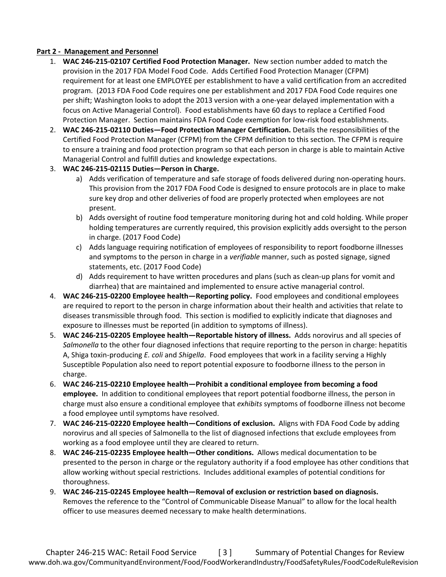### **Part 2 - Management and Personnel**

- 1. **WAC 246-215-02107 Certified Food Protection Manager.** New section number added to match the provision in the 2017 FDA Model Food Code. Adds Certified Food Protection Manager (CFPM) requirement for at least one EMPLOYEE per establishment to have a valid certification from an accredited program. (2013 FDA Food Code requires one per establishment and 2017 FDA Food Code requires one per shift; Washington looks to adopt the 2013 version with a one-year delayed implementation with a focus on Active Managerial Control). Food establishments have 60 days to replace a Certified Food Protection Manager. Section maintains FDA Food Code exemption for low-risk food establishments.
- 2. **WAC 246-215-02110 Duties—Food Protection Manager Certification.** Details the responsibilities of the Certified Food Protection Manager (CFPM) from the CFPM definition to this section. The CFPM is require to ensure a training and food protection program so that each person in charge is able to maintain Active Managerial Control and fulfill duties and knowledge expectations.
- 3. **WAC 246-215-02115 Duties—Person in Charge.**
	- a) Adds verification of temperature and safe storage of foods delivered during non-operating hours. This provision from the 2017 FDA Food Code is designed to ensure protocols are in place to make sure key drop and other deliveries of food are properly protected when employees are not present.
	- b) Adds oversight of routine food temperature monitoring during hot and cold holding. While proper holding temperatures are currently required, this provision explicitly adds oversight to the person in charge. (2017 Food Code)
	- c) Adds language requiring notification of employees of responsibility to report foodborne illnesses and symptoms to the person in charge in a *verifiable* manner, such as posted signage, signed statements, etc. (2017 Food Code)
	- d) Adds requirement to have written procedures and plans (such as clean-up plans for vomit and diarrhea) that are maintained and implemented to ensure active managerial control.
- 4. **WAC 246-215-02200 Employee health—Reporting policy.** Food employees and conditional employees are required to report to the person in charge information about their health and activities that relate to diseases transmissible through food. This section is modified to explicitly indicate that diagnoses and exposure to illnesses must be reported (in addition to symptoms of illness).
- 5. **WAC 246-215-02205 Employee health—Reportable history of illness.** Adds norovirus and all species of *Salmonella* to the other four diagnosed infections that require reporting to the person in charge: hepatitis A, Shiga toxin-producing *E. coli* and *Shigella*. Food employees that work in a facility serving a Highly Susceptible Population also need to report potential exposure to foodborne illness to the person in charge.
- 6. **WAC 246-215-02210 Employee health—Prohibit a conditional employee from becoming a food employee.** In addition to conditional employees that report potential foodborne illness, the person in charge must also ensure a conditional employee that *exhibits* symptoms of foodborne illness not become a food employee until symptoms have resolved.
- 7. **WAC 246-215-02220 Employee health—Conditions of exclusion.** Aligns with FDA Food Code by adding norovirus and all species of Salmonella to the list of diagnosed infections that exclude employees from working as a food employee until they are cleared to return.
- 8. **WAC 246-215-02235 Employee health—Other conditions.** Allows medical documentation to be presented to the person in charge or the regulatory authority if a food employee has other conditions that allow working without special restrictions. Includes additional examples of potential conditions for thoroughness.
- 9. **WAC 246-215-02245 Employee health—Removal of exclusion or restriction based on diagnosis.**  Removes the reference to the "Control of Communicable Disease Manual" to allow for the local health officer to use measures deemed necessary to make health determinations.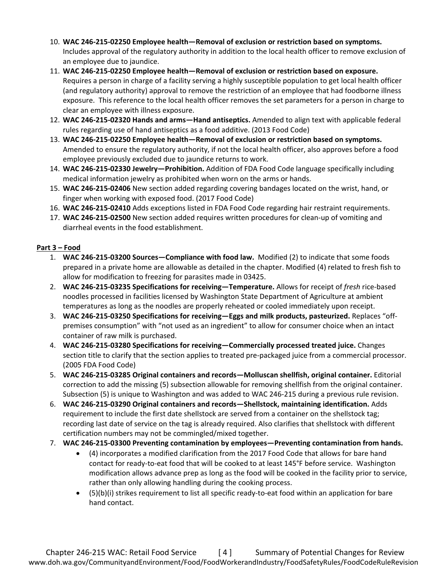- 10. **WAC 246-215-02250 Employee health—Removal of exclusion or restriction based on symptoms.**  Includes approval of the regulatory authority in addition to the local health officer to remove exclusion of an employee due to jaundice.
- 11. **WAC 246-215-02250 Employee health—Removal of exclusion or restriction based on exposure.**  Requires a person in charge of a facility serving a highly susceptible population to get local health officer (and regulatory authority) approval to remove the restriction of an employee that had foodborne illness exposure. This reference to the local health officer removes the set parameters for a person in charge to clear an employee with illness exposure.
- 12. **WAC 246-215-02320 Hands and arms—Hand antiseptics.** Amended to align text with applicable federal rules regarding use of hand antiseptics as a food additive. (2013 Food Code)
- 13. **WAC 246-215-02250 Employee health—Removal of exclusion or restriction based on symptoms.** Amended to ensure the regulatory authority, if not the local health officer, also approves before a food employee previously excluded due to jaundice returns to work.
- 14. **WAC 246-215-02330 Jewelry—Prohibition.** Addition of FDA Food Code language specifically including medical information jewelry as prohibited when worn on the arms or hands.
- 15. **WAC 246-215-02406** New section added regarding covering bandages located on the wrist, hand, or finger when working with exposed food. (2017 Food Code)
- 16. **WAC 246-215-02410** Adds exceptions listed in FDA Food Code regarding hair restraint requirements.
- 17. **WAC 246-215-02500** New section added requires written procedures for clean-up of vomiting and diarrheal events in the food establishment.

### **Part 3 – Food**

- 1. **WAC 246-215-03200 Sources—Compliance with food law.** Modified (2) to indicate that some foods prepared in a private home are allowable as detailed in the chapter. Modified (4) related to fresh fish to allow for modification to freezing for parasites made in 03425.
- 2. **WAC 246-215-03235 Specifications for receiving—Temperature.** Allows for receipt of *fresh* rice-based noodles processed in facilities licensed by Washington State Department of Agriculture at ambient temperatures as long as the noodles are properly reheated or cooled immediately upon receipt.
- 3. **WAC 246-215-03250 Specifications for receiving—Eggs and milk products, pasteurized.** Replaces "offpremises consumption" with "not used as an ingredient" to allow for consumer choice when an intact container of raw milk is purchased.
- 4. **WAC 246-215-03280 Specifications for receiving—Commercially processed treated juice.** Changes section title to clarify that the section applies to treated pre-packaged juice from a commercial processor. (2005 FDA Food Code)
- 5. **WAC 246-215-03285 Original containers and records—Molluscan shellfish, original container.** Editorial correction to add the missing (5) subsection allowable for removing shellfish from the original container. Subsection (5) is unique to Washington and was added to WAC 246-215 during a previous rule revision.
- 6. **WAC 246-215-03290 Original containers and records—Shellstock, maintaining identification.** Adds requirement to include the first date shellstock are served from a container on the shellstock tag; recording last date of service on the tag is already required. Also clarifies that shellstock with different certification numbers may not be commingled/mixed together.
- 7. **WAC 246-215-03300 Preventing contamination by employees—Preventing contamination from hands.** 
	- (4) incorporates a modified clarification from the 2017 Food Code that allows for bare hand contact for ready-to-eat food that will be cooked to at least 145°F before service. Washington modification allows advance prep as long as the food will be cooked in the facility prior to service, rather than only allowing handling during the cooking process.
	- (5)(b)(i) strikes requirement to list all specific ready-to-eat food within an application for bare hand contact.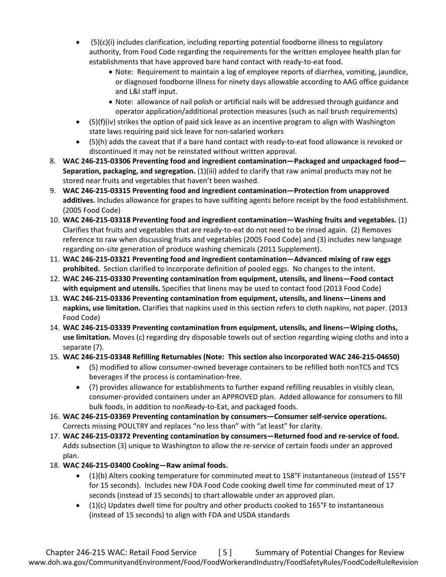- $(5)(c)(i)$  includes clarification, including reporting potential foodborne illness to regulatory authority, from Food Code regarding the requirements for the written employee health plan for establishments that have approved bare hand contact with ready-to-eat food.
	- Note: Requirement to maintain a log of employee reports of diarrhea, vomiting, jaundice, or diagnosed foodborne illness for ninety days allowable according to AAG office guidance and L&I staff input.
	- Note: allowance of nail polish or artificial nails will be addressed through guidance and operator application/additional protection measures (such as nail brush requirements)
- $\bullet$  (5)(f)(iv) strikes the option of paid sick leave as an incentive program to align with Washington state laws requiring paid sick leave for non-salaried workers
- (5)(h) adds the caveat that if a bare hand contact with ready-to-eat food allowance is revoked or discontinued it may not be reinstated without written approval.
- 8. **WAC 246-215-03306 Preventing food and ingredient contamination—Packaged and unpackaged food— Separation, packaging, and segregation.** (1)(iii) added to clarify that raw animal products may not be stored near fruits and vegetables that haven't been washed.
- 9. **WAC 246-215-03315 Preventing food and ingredient contamination—Protection from unapproved additives.** Includes allowance for grapes to have sulfiting agents before receipt by the food establishment. (2005 Food Code)
- 10. **WAC 246-215-03318 Preventing food and ingredient contamination—Washing fruits and vegetables.** (1) Clarifies that fruits and vegetables that are ready-to-eat do not need to be rinsed again. (2) Removes reference to raw when discussing fruits and vegetables (2005 Food Code) and (3) includes new language regarding on-site generation of produce washing chemicals (2011 Supplement).
- 11. **WAC 246-215-03321 Preventing food and ingredient contamination—Advanced mixing of raw eggs prohibited.** Section clarified to incorporate definition of pooled eggs. No changes to the intent.
- 12. **WAC 246-215-03330 Preventing contamination from equipment, utensils, and linens—Food contact with equipment and utensils.** Specifies that linens may be used to contact food (2013 Food Code)
- 13. **WAC 246-215-03336 Preventing contamination from equipment, utensils, and linens—Linens and napkins, use limitation.** Clarifies that napkins used in this section refers to cloth napkins, not paper. (2013 Food Code)
- 14. **WAC 246-215-03339 Preventing contamination from equipment, utensils, and linens—Wiping cloths, use limitation.** Moves (c) regarding dry disposable towels out of section regarding wiping cloths and into a separate (7).
- 15. **WAC 246-215-03348 Refilling Returnables (Note: This section also incorporated WAC 246-215-04650)**
	- (5) modified to allow consumer-owned beverage containers to be refilled both nonTCS and TCS beverages if the process is contamination-free.
	- (7) provides allowance for establishments to further expand refilling reusables in visibly clean, consumer-provided containers under an APPROVED plan. Added allowance for consumers to fill bulk foods, in addition to nonReady-to-Eat, and packaged foods.
- 16. **WAC 246-215-03369 Preventing contamination by consumers—Consumer self-service operations.** Corrects missing POULTRY and replaces "no less than" with "at least" for clarity.
- 17. **WAC 246-215-03372 Preventing contamination by consumers—Returned food and re-service of food.**  Adds subsection (3) unique to Washington to allow the re-service of certain foods under an approved plan.
- 18. **WAC 246-215-03400 Cooking—Raw animal foods.**
	- (1)(b) Alters cooking temperature for comminuted meat to 158°F instantaneous (instead of 155°F for 15 seconds). Includes new FDA Food Code cooking dwell time for comminuted meat of 17 seconds (instead of 15 seconds) to chart allowable under an approved plan.
	- $\bullet$  (1)(c) Updates dwell time for poultry and other products cooked to 165°F to instantaneous (instead of 15 seconds) to align with FDA and USDA standards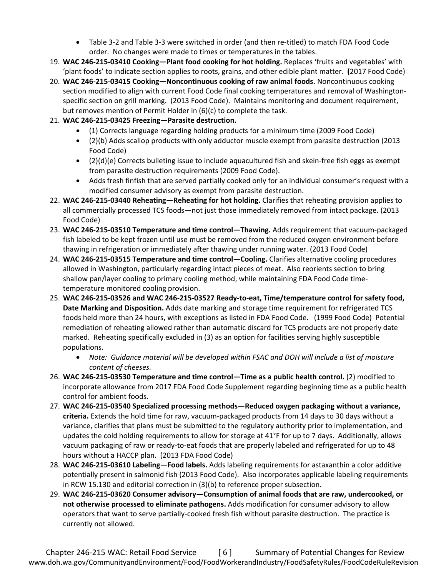- Table 3-2 and Table 3-3 were switched in order (and then re-titled) to match FDA Food Code order. No changes were made to times or temperatures in the tables.
- 19. **WAC 246-215-03410 Cooking—Plant food cooking for hot holding.** Replaces 'fruits and vegetables' with 'plant foods' to indicate section applies to roots, grains, and other edible plant matter. **(**2017 Food Code)
- 20. **WAC 246-215-03415 Cooking—Noncontinuous cooking of raw animal foods.** Noncontinuous cooking section modified to align with current Food Code final cooking temperatures and removal of Washingtonspecific section on grill marking. (2013 Food Code). Maintains monitoring and document requirement, but removes mention of Permit Holder in (6)(c) to complete the task.
- 21. **WAC 246-215-03425 Freezing—Parasite destruction.**
	- (1) Corrects language regarding holding products for a minimum time (2009 Food Code)
	- (2)(b) Adds scallop products with only adductor muscle exempt from parasite destruction (2013 Food Code)
	- $\bullet$  (2)(d)(e) Corrects bulleting issue to include aquacultured fish and skein-free fish eggs as exempt from parasite destruction requirements (2009 Food Code).
	- Adds fresh finfish that are served partially cooked only for an individual consumer's request with a modified consumer advisory as exempt from parasite destruction.
- 22. **WAC 246-215-03440 Reheating—Reheating for hot holding.** Clarifies that reheating provision applies to all commercially processed TCS foods—not just those immediately removed from intact package. (2013 Food Code)
- 23. **WAC 246-215-03510 Temperature and time control—Thawing.** Adds requirement that vacuum-packaged fish labeled to be kept frozen until use must be removed from the reduced oxygen environment before thawing in refrigeration or immediately after thawing under running water. (2013 Food Code)
- 24. **WAC 246-215-03515 Temperature and time control—Cooling.** Clarifies alternative cooling procedures allowed in Washington, particularly regarding intact pieces of meat. Also reorients section to bring shallow pan/layer cooling to primary cooling method, while maintaining FDA Food Code timetemperature monitored cooling provision.
- 25. **WAC 246-215-03526 and WAC 246-215-03527 Ready-to-eat, Time/temperature control for safety food, Date Marking and Disposition.** Adds date marking and storage time requirement for refrigerated TCS foods held more than 24 hours, with exceptions as listed in FDA Food Code. (1999 Food Code) Potential remediation of reheating allowed rather than automatic discard for TCS products are not properly date marked. Reheating specifically excluded in (3) as an option for facilities serving highly susceptible populations.
	- *Note: Guidance material will be developed within FSAC and DOH will include a list of moisture content of cheeses.*
- 26. **WAC 246-215-03530 Temperature and time control—Time as a public health control.** (2) modified to incorporate allowance from 2017 FDA Food Code Supplement regarding beginning time as a public health control for ambient foods.
- 27. **WAC 246-215-03540 Specialized processing methods—Reduced oxygen packaging without a variance, criteria.** Extends the hold time for raw, vacuum-packaged products from 14 days to 30 days without a variance, clarifies that plans must be submitted to the regulatory authority prior to implementation, and updates the cold holding requirements to allow for storage at 41°F for up to 7 days. Additionally, allows vacuum packaging of raw or ready-to-eat foods that are properly labeled and refrigerated for up to 48 hours without a HACCP plan.(2013 FDA Food Code)
- 28. **WAC 246-215-03610 Labeling—Food labels.** Adds labeling requirements for astaxanthin a color additive potentially present in salmonid fish (2013 Food Code). Also incorporates applicable labeling requirements in RCW 15.130 and editorial correction in (3)(b) to reference proper subsection.
- 29. **WAC 246-215-03620 Consumer advisory—Consumption of animal foods that are raw, undercooked, or not otherwise processed to eliminate pathogens.** Adds modification for consumer advisory to allow operators that want to serve partially-cooked fresh fish without parasite destruction. The practice is currently not allowed.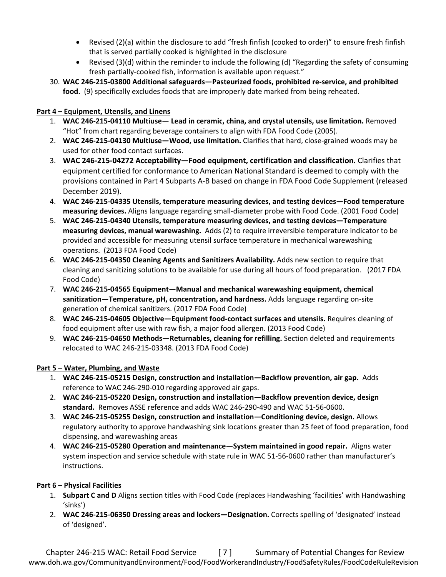- Revised (2)(a) within the disclosure to add "fresh finfish (cooked to order)" to ensure fresh finfish that is served partially cooked is highlighted in the disclosure
- Revised (3)(d) within the reminder to include the following (d) "Regarding the safety of consuming fresh partially-cooked fish, information is available upon request."
- 30. **WAC 246-215-03800 Additional safeguards—Pasteurized foods, prohibited re-service, and prohibited food.** (9) specifically excludes foods that are improperly date marked from being reheated.

### **Part 4 – Equipment, Utensils, and Linens**

- 1. **WAC 246-215-04110 Multiuse— Lead in ceramic, china, and crystal utensils, use limitation.** Removed "Hot" from chart regarding beverage containers to align with FDA Food Code (2005).
- 2. **WAC 246-215-04130 Multiuse—Wood, use limitation.** Clarifies that hard, close-grained woods may be used for other food contact surfaces.
- 3. **WAC 246-215-04272 Acceptability—Food equipment, certification and classification.** Clarifies that equipment certified for conformance to American National Standard is deemed to comply with the provisions contained in Part 4 Subparts A-B based on change in FDA Food Code Supplement (released December 2019).
- 4. **WAC 246-215-04335 Utensils, temperature measuring devices, and testing devices—Food temperature measuring devices.** Aligns language regarding small-diameter probe with Food Code. (2001 Food Code)
- 5. **WAC 246-215-04340 Utensils, temperature measuring devices, and testing devices—Temperature measuring devices, manual warewashing.** Adds (2) to require irreversible temperature indicator to be provided and accessible for measuring utensil surface temperature in mechanical warewashing operations.(2013 FDA Food Code)
- 6. **WAC 246-215-04350 Cleaning Agents and Sanitizers Availability.** Adds new section to require that cleaning and sanitizing solutions to be available for use during all hours of food preparation.(2017 FDA Food Code)
- 7. **WAC 246-215-04565 Equipment—Manual and mechanical warewashing equipment, chemical sanitization—Temperature, pH, concentration, and hardness.** Adds language regarding on-site generation of chemical sanitizers. (2017 FDA Food Code)
- 8. **WAC 246-215-04605 Objective—Equipment food-contact surfaces and utensils.** Requires cleaning of food equipment after use with raw fish, a major food allergen. (2013 Food Code)
- 9. **WAC 246-215-04650 Methods—Returnables, cleaning for refilling.** Section deleted and requirements relocated to WAC 246-215-03348. (2013 FDA Food Code)

## **Part 5 – Water, Plumbing, and Waste**

- 1. **WAC 246-215-05215 Design, construction and installation—Backflow prevention, air gap.** Adds reference to WAC 246-290-010 regarding approved air gaps.
- 2. **WAC 246-215-05220 Design, construction and installation—Backflow prevention device, design standard.** Removes ASSE reference and adds WAC 246-290-490 and WAC 51-56-0600.
- 3. **WAC 246-215-05255 Design, construction and installation—Conditioning device, design.** Allows regulatory authority to approve handwashing sink locations greater than 25 feet of food preparation, food dispensing, and warewashing areas
- 4. **WAC 246-215-05280 Operation and maintenance—System maintained in good repair.** Aligns water system inspection and service schedule with state rule in WAC 51-56-0600 rather than manufacturer's instructions.

## **Part 6 – Physical Facilities**

- 1. **Subpart C and D** Aligns section titles with Food Code (replaces Handwashing 'facilities' with Handwashing 'sinks')
- 2. **WAC 246-215-06350 Dressing areas and lockers—Designation.** Corrects spelling of 'designated' instead of 'designed'.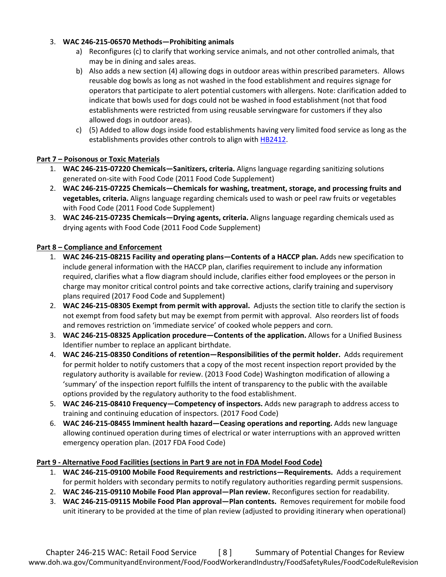### 3. **WAC 246-215-06570 Methods—Prohibiting animals**

- a) Reconfigures (c) to clarify that working service animals, and not other controlled animals, that may be in dining and sales areas.
- b) Also adds a new section (4) allowing dogs in outdoor areas within prescribed parameters. Allows reusable dog bowls as long as not washed in the food establishment and requires signage for operators that participate to alert potential customers with allergens. Note: clarification added to indicate that bowls used for dogs could not be washed in food establishment (not that food establishments were restricted from using reusable servingware for customers if they also allowed dogs in outdoor areas).
- c) (5) Added to allow dogs inside food establishments having very limited food service as long as the establishments provides other controls to align with [HB2412.](https://app.leg.wa.gov/billsummary?BillNumber=2412&Year=2019&Initiative=false)

### **Part 7 – Poisonous or Toxic Materials**

- 1. **WAC 246-215-07220 Chemicals—Sanitizers, criteria.** Aligns language regarding sanitizing solutions generated on-site with Food Code (2011 Food Code Supplement)
- 2. **WAC 246-215-07225 Chemicals—Chemicals for washing, treatment, storage, and processing fruits and vegetables, criteria.** Aligns language regarding chemicals used to wash or peel raw fruits or vegetables with Food Code (2011 Food Code Supplement)
- 3. **WAC 246-215-07235 Chemicals—Drying agents, criteria.** Aligns language regarding chemicals used as drying agents with Food Code (2011 Food Code Supplement)

### **Part 8 – Compliance and Enforcement**

- 1. **WAC 246-215-08215 Facility and operating plans—Contents of a HACCP plan.** Adds new specification to include general information with the HACCP plan, clarifies requirement to include any information required, clarifies what a flow diagram should include, clarifies either food employees or the person in charge may monitor critical control points and take corrective actions, clarify training and supervisory plans required (2017 Food Code and Supplement)
- 2. **WAC 246-215-08305 Exempt from permit with approval.** Adjusts the section title to clarify the section is not exempt from food safety but may be exempt from permit with approval. Also reorders list of foods and removes restriction on 'immediate service' of cooked whole peppers and corn.
- 3. **WAC 246-215-08325 Application procedure—Contents of the application.** Allows for a Unified Business Identifier number to replace an applicant birthdate.
- 4. **WAC 246-215-08350 Conditions of retention—Responsibilities of the permit holder.** Adds requirement for permit holder to notify customers that a copy of the most recent inspection report provided by the regulatory authority is available for review. (2013 Food Code) Washington modification of allowing a 'summary' of the inspection report fulfills the intent of transparency to the public with the available options provided by the regulatory authority to the food establishment.
- 5. **WAC 246-215-08410 Frequency—Competency of inspectors.** Adds new paragraph to address access to training and continuing education of inspectors. (2017 Food Code)
- 6. **WAC 246-215-08455 Imminent health hazard—Ceasing operations and reporting.** Adds new language allowing continued operation during times of electrical or water interruptions with an approved written emergency operation plan. (2017 FDA Food Code)

#### **Part 9 - Alternative Food Facilities (sections in Part 9 are not in FDA Model Food Code)**

- 1. **WAC 246-215-09100 Mobile Food Requirements and restrictions—Requirements.** Adds a requirement for permit holders with secondary permits to notify regulatory authorities regarding permit suspensions.
- 2. **WAC 246-215-09110 Mobile Food Plan approval—Plan review.** Reconfigures section for readability.
- 3. **WAC 246-215-09115 Mobile Food Plan approval—Plan contents.** Removes requirement for mobile food unit itinerary to be provided at the time of plan review (adjusted to providing itinerary when operational)